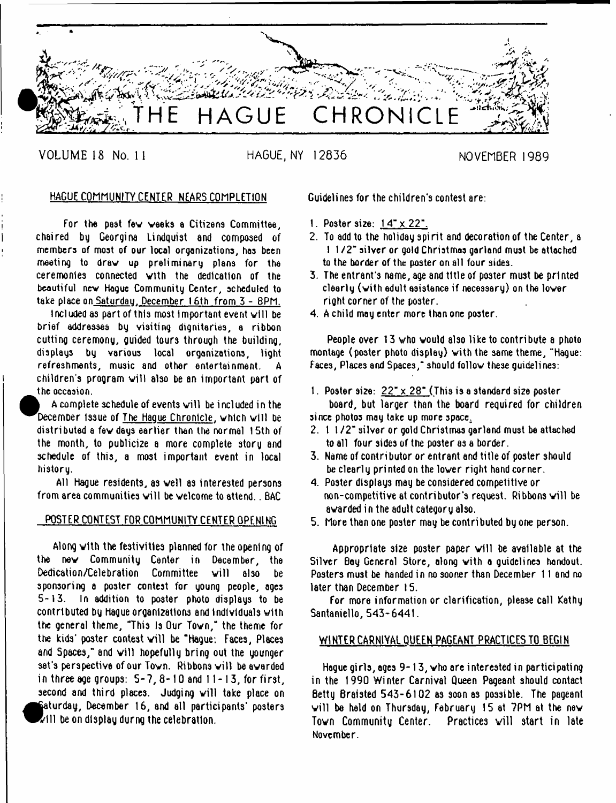

VOLUME 18 No. 11 HAGUE, NY 12836 NOVEMBER 1989

# HAGUE COMMUNITY CENTER NEARS COMPLETION

For the past fev weeks a Citi2ens Committee, chaired by Georgina Lindquist and composed of members of most of our local organizations, has been meeting to draw up preliminary plans for the ceremonies connected vtth the dedication of the beautiful nev Hague Community Center, scheduled to take place on Saturday, December 16th from 3 - 8PM.

Included as part of this most important event will be brief addressee by visiting dignitaries, a ribbon cutting ceremony, guided tours through the building, displays by various local organizations, light refreshments, music and other entertainment. A children's program will also be an important part of the occasion.

A complete schedule of events will be included in the December issue of The Hague Chronicle, which will be distributed a fev days earlier than the normal 15th of the month, to publicize a more complete story and schedule of this, a most important event in local history.

All Hague residents, as veil as interested persons from area communities will be welcome to attend... BAC

# POSTER CONTEST FOR COMMUNITY CENTER OPENING

Along vith the festivities planned for the opening of the nev Community Center in December, the Dedication/Celebration Committee will also be sponsoring a poster contest for young people, ages 5-13. In addition to poster photo displays to be contributed by Hague organizations and individuals with the general theme, "This Is Our Tovn," the theme for the kids' poster contest will be "Hague: Faces, Places and Spaces," and will hopefully bring out the younger set's perspective of our Town. Ribbons will be awarded in three age groups:  $5-7$ ,  $8-10$  and  $11-13$ , for first, second and third places. Judging will take place on Saturday, December 16, and atl participants' posters  $\sim$ ill be on display durng the celebration.

**1** 

Guidelines for the children's contest are:

- 1. Poster size: 1 4" x 22".
- 2. To add to the holiday spirit and decoration of the Center, a 1 1 /2 " silver or gold Christmas garland must be attached to the border of the poster on all four sides.
- 3. The entrant's name, age and title of poster must be printed clearly (vith edult esistence if necessary) on the lover right corner of the poster.
- 4. A child may enter more than one poster.

People over 13 who would also like to contribute a photo montage (poster photo display) vith the same theme, "Hague: Faces, Places and Spaces," should follow these quidelines:

1. Poster size:  $22^{\circ} \times 28^{\circ}$  (This is a standard size poster board, but larger than the board required for children since photos may take up more space.

2. 1 1/2" silver or gold Christmas garland must be attached to all four sides of the poster as a border.

- 3. Name of contri butor or entrant and title of poster should be clearly printed on the lover right hand corner.
- 4. Poster displays may be considered competitive or non-competitive at contributor's request. Ribbons will be awarded in the adult category also.
- 5. More than one poster may be contributed by one person.

Appropriate size poster paper will be available at the Silver Boy General Store, along vith a guidelines handout. Posters must be handed in no sooner than December 11 and no later than December 15.

For more information or clarification, please call Kathy Santaniello, 543-6441.

# WINTER CARNIVAL QUEEN PAGEANT PRACTICES TO BEGIN

Hogue girls, ages 9-13, who are interested in participating in the 1990 Winter Carnival Queen Pageant should contact Betty Braisted 543-6102 as soon as possible. The pageant will be held on Thursday, February 15 at  $7PM$  at the new Town Community Center. Practices will start in late November.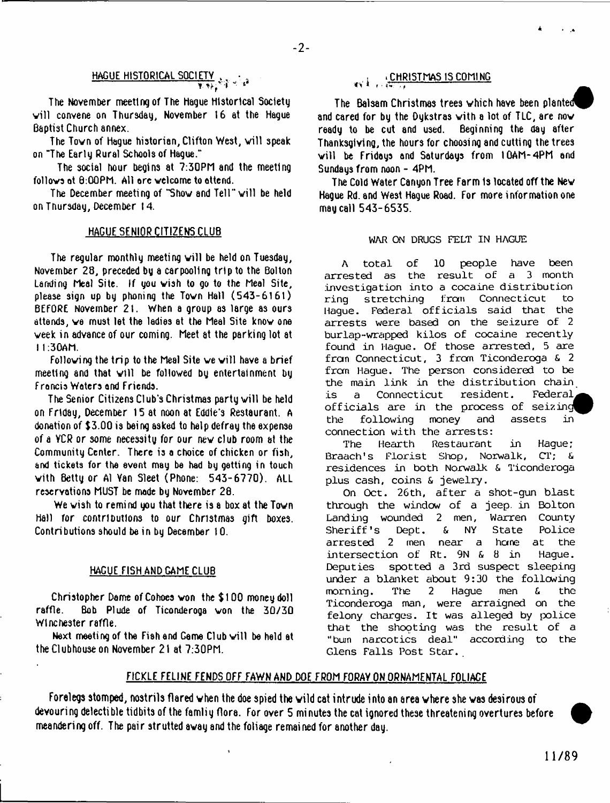$-2-$ 

# HAGUE HISTORICAL SOCIETY " ■ .

The November meeting of The Hague Historical Society vill convene on Thursday, November 16 at the Hague Baptist Church annex.

The Town of Hague historian, Clifton West, will speak on "The Early Rural Schools of Hague."

The social hour begins at 7:30PM and the meeting follows at 0:QOPN. All ore welcome to attend.

The December meeting of "Show and Tell" will be held on Thursday, December 14.

## HAGUE SENIOR CITIZENS CLUB

The regular monthly meeting will be held on Tuesday, November 28, preceded by a carpoollng trip to the Bolton Landing Meal Site. If you wish to go to the Meal Site, please sign up by phoning the Tovn Hall (543-6161) BEFORE November 2 1. When a group as large as ours attends, ve must let the ladies at the Meal Site know one veek in advance of our coming. Meet at the parking lot at I 1:30AM.

Following the trip to the Meal Site we will have a brief meeting and that will be followed by entertainment by Francis Waters and Friends.

The Senior Citizens Club's Christmas party will be held on Friday, December 15 at noon at Eddie's Restaurant. A donation of \$3.00 is being asked to help defray the expense of a YCR or some necessity for our nev club room at the Community Center. There is a choice of chicken or fish, and tickets for the event may be had by getting in touch vith Betty or A1 Van Sleet (Phone: 543-6770). ALL reservations MUST be made by November 28.

We wish to remind you that there is a box at the Town Hall for contributions to our Christmas gift boxes. Contributions should be in by December 10.

#### HAGUE FISH AND CAME CLUB

Christopher Dame of Cohoes von the \$ 100 money doll raffle. Bob Plude of Ticonderoga von the 30/30 Winchester raffle.

Next meeting of the Fish and Game Club will be held at the Clubhouse on November 21 at 7:30PM.

# $\cdot$  CHRISTMAS IS COMING

The Balsam Christmas trees which have been planted^P and cared for by the Dykstras with a lot of TLC, are now ready to be cut and used. Beginning the day after ready to be cut and used. Thanksgiving, the hours for choosing and cutting the trees will be Fridays and Saturdays from 10AM-4PM and Sundays from noon - 4PM.

The Cold Water Canyon Tree Farm 1s located off the Nev Hague Rd. and West Hague Road. For more information one may call 543-6535.

#### **WAR ON DRUGS FELT IN HAGUE**

**A total of 10 people have been arrested as the result of a 3 month investigation into a cocaine distribution ring stretching from Connecticut to Hague. Federal off icials said that the arrests were based on the seizure of 2 burlap-wrapped kilos of cocaine recently found in Hague. Of those arrested, 5 are fran Connecticut, 3 from Ticonderoga £■ 2 from Hague. The person considered to be the main link in the distribution chain is a Connecticut resident. Federal^^ officials are in the process of seizinc^^ the following money and assets in connection with the arrests:**

**The Hearth Restaurant in Hague; Braach's Florist Shop, Norwalk, CT;** *&* **residences in both Norwalk & Ticonderoga plus cash, coins & jewelry.**

**On Oct. 26th, after a shot-gun blast through the window of a jeep, in Bolton Landing wounded 2 men, Warren County Sheriff's Dept, & NY State Police arres ted 2 men near a hane at the intersection of Rt. 9N & 8 in Hague. Deputies spotted a 3rd suspect sleeping under a blanket about 9:30 the following morning. The 2 Hague men & the Ticonderoga man, were arraigned on the felony charges. It was alleged by police that the shooting was the result of a "bum narcotics deal" according to the Glens Falls Post Star. \_**

# FICKLE FELINE FENDS OFF FAWN AND DOE FROM FORAY ON ORNAMENTAL FOLIAGE

Forelegs stomped, nostrils flared vhen the doe spied the vild cat intrude into an area where she was desirous of devouring delectible tidbits of the famliy flora. For over 5 minutes the cat ignored these threatening overtures before meandering off. The pair strutted away and the foliage remained for another day.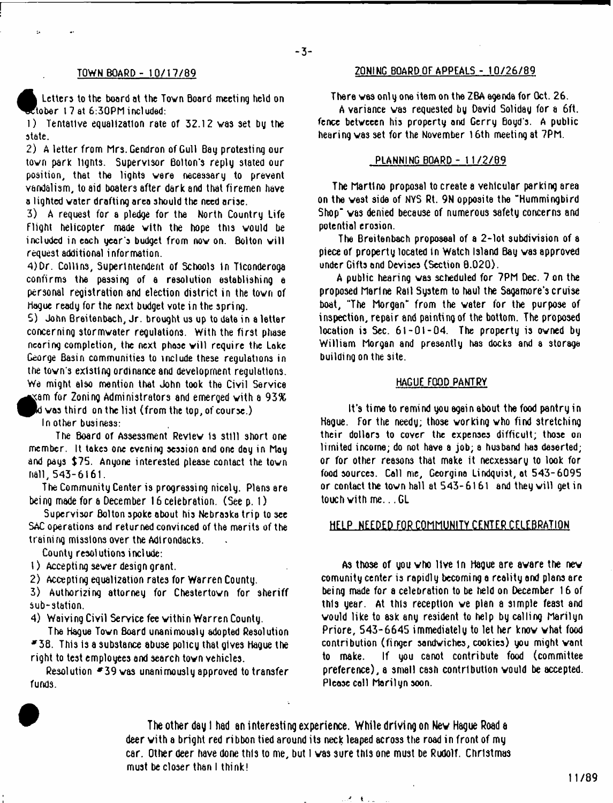#### TOWN BOARD - 10/17/89

 $\ddot{\phantom{a}}$ 

Letters to the board at the Tovn Board meeting held on  $\epsilon$ tober 17 at 6:30PM included:

1) Tentative equalization rate of 32.12 vas set by the state.

2) A letter from Mrs. Gendron of Gull Bay protesting our tovn park lights. Supervisor Bolton's reply stated our position, that the lights vara necessary to prevent vandalism, to aid boaters after dark and that firemen have a lighted voter drafting area should the need arise.

3) A request for a pledge for the North Country Life Flight helicopter made vith the hope this vould be included in each year's budget from now on. Bolton will request additional information.

4)Dr. Collins, Superintendent of Schools In Ticonderoga confirms the passing of a resolution establishing a personal registration and election district in the tovn of Hague ready for the next budget vote in the spring.

5) John Breitenbach, Jr. brought us up to data in a letter concerning stormvater regulations. With the first phase nearing completion, the next phase will require the Lake George Basin communities to include these regulations in the tovn's existing ordinance and development regulations. We might also mention that John took the Civil Service

 $\,$   $\,$  am for Zoning Administrators and emerged with a 93%  $\,$ 

 ${\sf Id}$  was third-on the list (from the top, of course.).

In other business:

The Board of Assessment Revlev Is still short one member. It takes one evening session end one day in May and pays \$75. Anyone interested please contact the tovn hall, 543-6161.

The Community Center is progressing nicely. Plans are being made for a December 16 celebration. (See p. 1)

Supervisor Bolton spoke about his Nebraska trip to see SAC operations and returned convinced of the merits of the training missions over the Adirondacks.

County resolutions include:

1) Accepting sever design grant.

2) Accepting equalization rates for Warren County.

3) Authorizing attorney for Chestertovn for sheriff sub-station.

4) Waiving Civil Service fee vithin Warren County.

The Hague Tovn Board unanimously adopted Resolution  $-38$ . This is a substance abuse policy that gives Hague the right to test employees and search tovn vehicles.

Resolution  $-39$  was unanimously approved to transfer funds.

# 2QNINC BOARD OF APPEALS - 10/26/89

There vas onl y one item on the ZBA agenda for Oct. 26.

A variance vas requested by David Soliday for a 6ft. fence betveeen his property and Gerry Boyd s. A public hearing vas set for the November 16th meeting at 7PM.

## PLANNING BOARD - 11/2/B9

The Martino proposal to create a vehicular parking area on the vest side of NYS Rt. 9N opposite the "Hummingbird Shop" vas denied because of numerous safety concerns and potential erosion.

The Breitenbach proposes) of a 2-lot subdivision of a piece of property located In Watch Island Bay vas approved under Gifts and Devises (Section 8.020).

A public hearing vas scheduled for 7PM Dec. 7 on the proposed Marine Rail System to haul the Sagamore's cruise boat, "The Morgan" from the vater for the purpose of inspection, repair and painting of the bottom. The proposed location is Sec. 61-01-04. The property is owned by William Morgan and presently has docks and a storage building on the site.

#### HAGUE FOOD PANTRY

It's time to remind you again about the food pantry in Hague. For the needy; those vorking vho find stretching their dollars to cover the expenses difficult; those on limited income; do not have a job; a husband has deserted; or for other reasons that make it necxessary to look for food sources. Call me, Georgina Lindquist, at 543-6095 or contact the town hall at  $543 - 6161$  and they will get in touch vith me.. .GL

# HELP NEEDED FOR COMMUNITY CENTER CELEBRATION

As those of you vho ltve 1n Hague are avare the nev comunity center is rapidly becoming a realitg and plans are being made for a celebration to be held on December 16 of this year. At this reception ve plan a simple feast and vould like to ask any resident to help by calling Marilyn Priore, 543-6645 immediately to let her knov vhat food contribution (finger sandviches, cookies) you might vant to make. If you canot contribute food (committee preference), a small cash contribution vould be accepted. Please col) Marilyn soon.

The other day I had an interesting experience. While driving on New Hague Road a deer vith a bright red ribbon tied around its neck leaped across the road in front of my car. Other deer have done this to me, but 1 vas sure this one must be Rudolf. Christmas must be closer than I think!

オーモリレール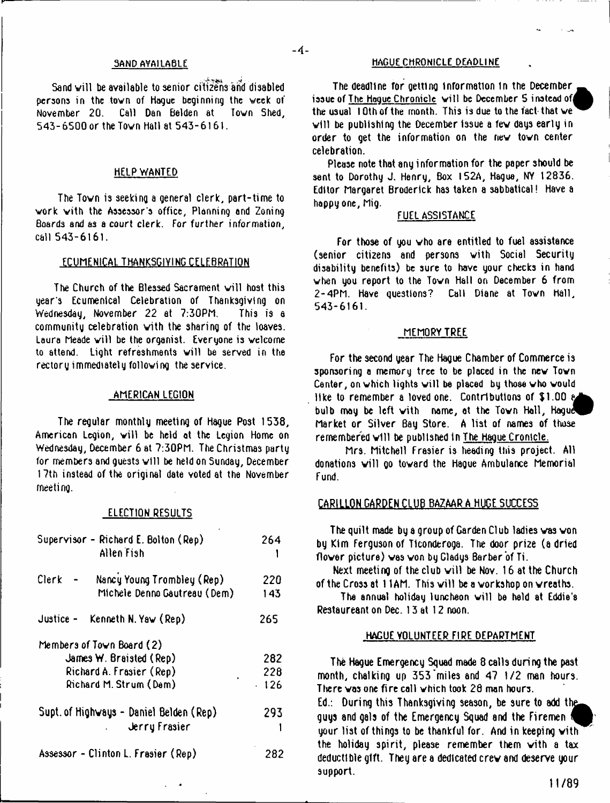#### 3AND AVAILABLE

Sand will be available to senior citizens and disabled persons in the town of Hogue beginning the week of November 20. Call Dan Belden at Town Shed, 543-6500 or the Tovn Hall at 543-6161.

#### HELP WANTED

The Tovn is seeking a general clerk, part-time to work vith the Assessor's office, Planning and Zoning Boards and as a court clerk. For further information, call 543-6161.

#### ECUMENICAL THANKSGIVING CELEBRATION

The Church of the Blessed Sacrament will host this gear's Ecumenical Celebration of Thanksgiving on Wednesday, November 22 at 7:30PM. This is a community celebration vith the sharing of the loaves. Laura Meade will be the organist. Everyone is welcome to attend. Light refreshments will be served in the rectory immediately following the service.

#### AMERICAN LEGION

The regular monthly meeting of Hague Post 1538, American Legion, will be held at the Legion Home on Wednesday, December 6 at 7:30PM. The Christmas party for members and quests will be held on Sunday, December 17th instead of the original date voted at the November meeting.

#### ELECTION RESULTS

| Supervisor - Richard E. Bolton (Rep)<br>Allen Fish                  | 264        |
|---------------------------------------------------------------------|------------|
| Nancy Young Trombley (Rep)<br>Clerk<br>Michele Denno Gautreau (Dem) | 220<br>143 |
| Justice -<br>Kenneth N. Yaw (Rep)                                   | 265        |
| Members of Town Board (2)                                           |            |
| James $W$ . Braisted (Rep)                                          | 282        |
| Richard A. Frasier (Rep)                                            | 228        |
| Richard M. Strum (Dem)                                              | 126        |
| Supt. of Highways - Daniel Belden (Rep)                             | 293        |
| Jerry Frasier                                                       |            |
| Assessor - Clinton L. Frasier (Rep)                                 | 282        |

# HAGUE CHRONICLE DEADLINE

 $-4-$ 

The deadline tor getting information in the December ^ issue of The Hague Chronicle will be December 5 instead of the usual  $10$ th of the month. This is due to the fact that we will be publishing the December issue a few days early in order to get the information on the nev tovn center celebration.

Please note that any information for the paper should be sent to Dorothy J. Henry, Box I52A, Hague, NY 12836. Editor Margaret Broderick has taken a sabbatical! Have a happy one, Mig.

#### FUEL ASSISTANCE

For those of you vho are entitled to fuel assistance (senior citizens and persons vith Social Security disability benefits) be sure to have your checks in hand vhen you report to the Tovn Hall on December 6 from 2 - 4PM. Have questions? Call Diane at Tovn hall, 543-6161.

#### MEMORY TREE

For the second year The Hague Chamber of Commerce is sponsoring a memory tree to be placed in the new Town Center, on which lights will be placed by those who would like to remember a loved one. Contributions of \$1.00  $\epsilon$ bulb may be left with name, at the Town Hall, Hague Market or Silver Bay Store. A list of names of those remembered will be published in The Haque Cronicle.

Mrs. Mitchell Frasier is heading this project. All donations will go toward the Hague Ambulance Memorial Fund.

### CARILLON GARDEN CLUB BAZAAR A HUGE SUCCESS

The quilt made by a group of Garden Club ladies vas von by Kim Ferguson of Ticonderoga. The door prize (a dried flower picture) was won by Gladys Barber of Ti.

Next meeting of the club will be Nov. 16 at the Church of the Cross at 11AM. This will be a workshop on wreaths.

The annual holiday luncheon will be held at Eddie's Restaureant on Dec. 13 at 12 noon.

#### HAGUE VOLUNTEER FIRE DEPARTMENT

The Hague Emergency Squad made 8 calls during the past month, chalking up 353 miles and 47 1/2 man hours. There vas one fire coll which took 28 man hours. Ed.: During this Thanksgiving season, be sure to add the guys and gals of the Emergency Squad and the Firemen your list of things to be thankful for. And in keeping vith the holiday spirit, please remember them vith a tax deductible gift. They are a dedicated crev and deserve your support.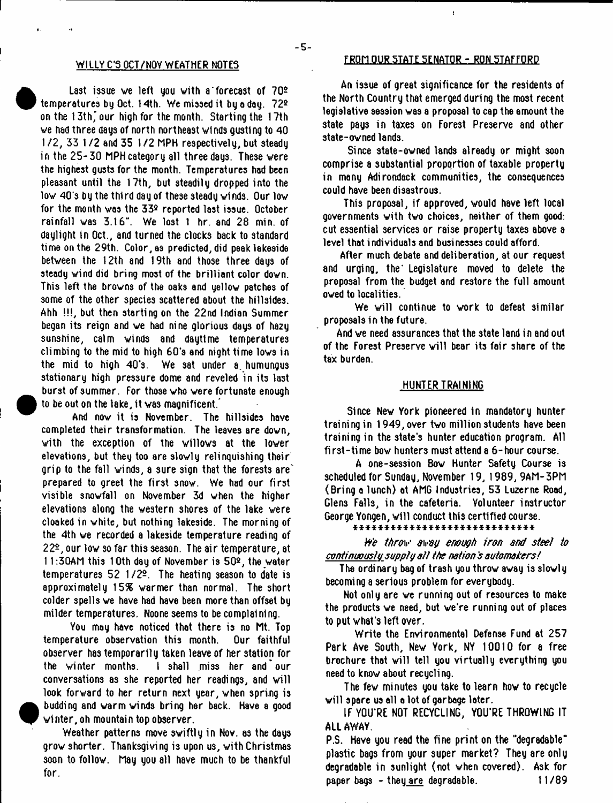#### WILLY C'S OCT/NOV WEATHER NOTES

Last issue we left you with a forecast of  $70<sup>2</sup>$ temperatures by Oct. 14th. We missed it by a day. ?2e on the 13th' our high for the month. Starting the 17th we had three days of north northeast winds gustlng to 40 1 /2 , 33 1 /2 and 35 1/2 MPH respectively, but steady in the 25-30 MPH category all three days. These were the highest gusts for the month. Temperatures had been pleasant until the 17th, but steadily dropped into the low 40's by the third day of these steady winds. Our low for the month was the  $33<sup>2</sup>$  reported last issue. October rainfall was 3.16". We lost 1 hr. and 28 min. of daylight in Oct., and turned the clocks back to standard time on the 29th. Color, as predicted, did peak lakeside between the 12th and 19th and those three days of steady wind did bring most of the brilliant color down. This left the browns of the oaks and yellow patches of some of the other species scattered about the hillsides. Ahh !!!, but then starting on the 22nd Indian Summer began its reign and we had nine glorious days of ha2y sunshine, calm winds and daytime temperatures climbing to the mid to high 60's and night time lows in the mid to high 40's. We sat under a. humungus stationary high pressure dome and reveled in its last burst of summer. For those who were fortunate enough to be out on the lake, it was magnificent.'

And now it is November. The hillsides have completed their transformation. The leaves are down, with the exception of the willows at the lower elevations, but they too are slowly relinquishing their grip to the fall winds, a sure sign that the forests are' prepared to greet the first snow. We had our first visible snowfall on November 3d when the higher elevations along the western shores of the lake were cloaked in white, but nothing lakeside. The morning of the 4th we recorded a lakeside temperature reading of 22-, our low so far this season. The air temperature, at 1 1:30AM this 10th day of November is 5Qa, the water temperatures  $52 \frac{1}{2}$ . The heating season to date is approximately 15% warmer than normal. The short colder spells we have had have been more than offset by milder temperatures. Noone seems to be complaining.

You may have noticed that there is no Mt. Top temperature observation this month. Our faithful observer has temporarily taken leave of her station for the winter months. I shall miss her and'our conversations as she reported her readings, snd will look forward to her return next year, when spring is budding and warm winds bring her back. Have a good winter, oh mountain top observer.

Weather patterns move swiftly in Nov. as the days grow shorter. Thanksgiving is upon us, with Christmas soon to follow. May you all have much to be thankful for.

#### FROM OUR STATE SENATOR - RON STAFFORD

 $\mathbf{r}$ 

An issue of great significance for the residents of the North Country that emerged during the most recent legislative session was a proposal to cap the amount the state pays in taxes on Forest Preserve and other state-owned lands.

Since state-owned lands already or might soon comprise a substantial proportion of taxable property in many Adirondack communities, the consequences could have been disastrous.

This proposal, if approved, would have left local governments vith two choices, neither of them good: cut essential services or raise property taxes above a level that individuals and businesses could afford.

After much debate and deliberation, at our request and urging, the Legislature moved to delete the proposal from the budget and restore the full amount owed to localities.

We will continue to work to defeat similar proposals in the future.

And we need assurances that the state land in and out of the Forest Preserve will bear its fair 3hare of the tax burden.

#### HUNTER TRAINING

Since Nev York pioneered in mandatory hunter training in 1949, over two million students have been training in the state's hunter education program. All first-time bow hunters must attend a  $6$ -hour course.

A one-session Bow Hunter Safety Course is scheduled for Sunday, November 19,1989, 9AM-3PM (Bring a lunch) at AMG Industries, 53 Luzerne Road, Glens Falls, in the cafeteria. Volunteer instructor George Yongen, will conduct this certified course.

\* \* \* \* \* \* \* \* \* \* \* \* \* \* \* \* \* \* \* \* \* \* \* \* \* \* \* \* \*

*We throw sway enough iron and steel to continuous to supotu att the nation's automakers!*

The ordinary bag of trash you throw away is slowly becoming a serious problem for everybody.

Not only are we running out of resources to make the products we need, but we're running out of places to put what's left over.

Write the Environmental Defense Fund at 257 Park Ave South, New York, NY 10010 for a free brochure that will tell you virtually everything you need to know about recycling.

The fev minutes you take to learn how to recycle will spare us all a lot of garbage later.

IF YOU'RE NOT RECYCLING, YOU'RE THROWING IT ALL AWAY.

P.S. Have you read the fine print on the "degradable" plastic bags from your super market? They are only degradable in sunlight (not when covered). Ask for paper bags - theu are degradable. 11 /89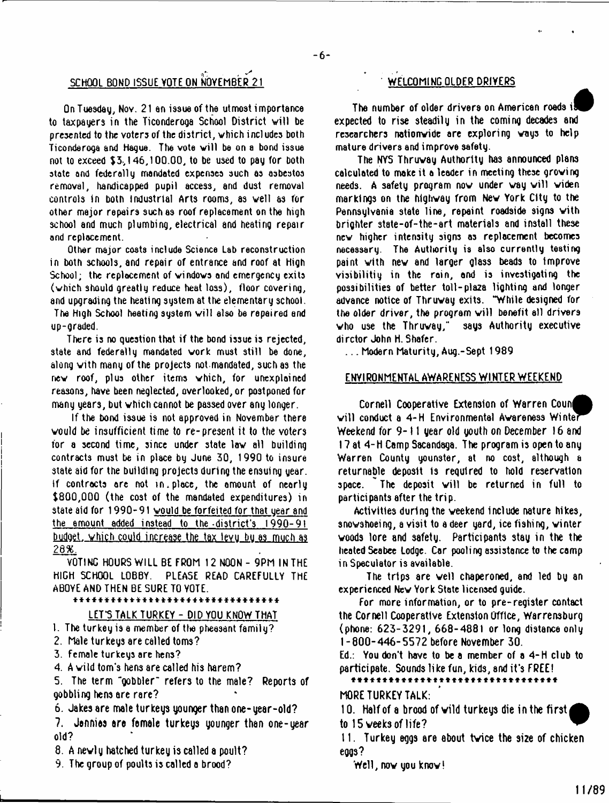# SCHOOL BOND ISSUE VOTE ON NOVEMBER 21 WELCOMING OLDER DRIVERS

On Tuesday, Nov. 21 an issue of the utmost importance to taxpayers in the Ticonderoga School District will be presented to the voters of the district, which includes both Ticonderoga and Hague. The vote will be on a bond issue not to exceed \$3,1 46,1 00.00, to be used to pay for both state and federally mandated expenses such as asbestos removal, handicapped pupil access, and dust removal controls in both industrial Arts rooms, as well as for other major repairs such as roof replacement on the high school and much plumbing, electrical and heating repair and replacement.

Other major costs include Science Lab reconstruction in both schools, and repair of entrance and roof at High School; the replacement of windows and emergency exits (which should greatly reduce heat loss), floor covering, and upgrading the heating system at the elementary school. The High School heating system will also be repaired and up-graded.

There is no question that if the bond issue is rejected, state and federally mandated work must still be done, along with many of the projects not.mandated, such as the new roof, plus other items which, for unexplained reasons, have been neglected, overlooked, or postponed for many years, but which cannot be passed over any longer.

If the bond issue is not approved in November there would be insufficient time to re-present it to the voters for a second time, since under state law all building contracts must be in place by June 30, 1990 to insure state aid for the building projects during the ensuing year. If contracts are not in .place, the amount of nearly \$800,000 (the cost of the mandated expenditures) in state aid for 1990-91 vould be forfeited for that year and the amount added instead to the-district's 1990-91 budget, which could increase the tax levy by as much as *2 6 %.*

VOTING HOURS WILL BE FROM 12 NOON - 9PM IN THE HIGH SCHOOL LOBBY. PLEASE READ CAREFULLY THE ABOVE AND THEN BE SURE TO YOTE.

#### \* \* \* \* \* \* \* \* \* \* \* \* \* \* \* \* \* \* \* \* \* \* \* \* \* \* \* \* \* \* \* \* \*

LET'S TALK TURKEY - DID YOU KNOW THAT

1. The turkey is a member of the pheasant family?

- 2. Male turkeys are called toms?
- 3. female turkeys are hens?
- 4. A wild tom's hens are called his harem?

5. The term "gobbler" refers to the male? Reports of gobbling hens are rare?

**6. Jakes are male turkeys younger than one-year-old?**

**7. Jennies ere female turkeys younger than one-year** old?

**8. A newly hatched turkey is called a poult?**

9. The group of poults is called a brood?

The number of older drivers on Americen roads il expected to rise steadily in the coming decades and researchers nationwide are exploring ways to help mature drivers and improve safety.

The NYS Thruvay Authority has announced plans calculated to make it a leader in meeting these growing needs. A safety program now under way will widen markings on the highway from Nev York City to the Pennsylvania state line, repaint roadside signs vith brighter state-of-the-art materials and install these nev higher intensity signs as replacement becomes necessary. The Auttiority is also currently testing paint with nev and larger glass beads to Improve visibilitiy in the rain, and is investigating the possibilities of better toll - plaza lighting and longer advance notice of Thruway exits. "While designed for the older driver, the program will benefit ell drivers vho use the Thruvay," says Authority executive dirctor John H. Shafer.

. . . Modern Maturity, Aug.-Sept 1989

#### ENVIRONMENTAL AWARENESS WINTER WEEKEND

 $\small{\textsf{Corroll}\space}$  Cooperative Extension of Warren Counf will conduct a 4-H Environmental Awareness Winter Weekend for 9-11 year old youth on December 16 and 17 at 4-H Camp Sacandaga. The program is open to any Warren County younster, at no cost, although a returnable deposit Is required to hold reservation space. The deposit will be returned in full to participants after the trip.

Activities during the weekend include nature hikes, snovshoeing, a visit to a deer yard, ice fishing, winter woods lore and safety. Participants stay in the the heated Seabee Lodge. Car pooling assistance to the camp in Speculator is available.

The trips are well chaperoned, and led by an experienced Nev York State licensed guide.

For more information, or to pre-register contact the Cornell Cooperative Extension Office, Warrensburg (phone: 623-3291, 668-4881 or long distance only 1-800-446-5572 before November 30.

Ed.: You don't have to be a member of a 4-H club to participate. Sounds like fun, kids, and it's FREE!

\*\*\*\*\*\*\*\*\*\*\*\*\*\*\*\*\*\*\*\*\*\*\*\*\*\*\*\*\*\*\*

#### MORE TURKEY TALK:

**10. Half of a brood of wild turkeys die in the first to 15 weeks of life?**

**11. Turkey eggs are ebout twice the size of chicken eggs?**

Well, now you know!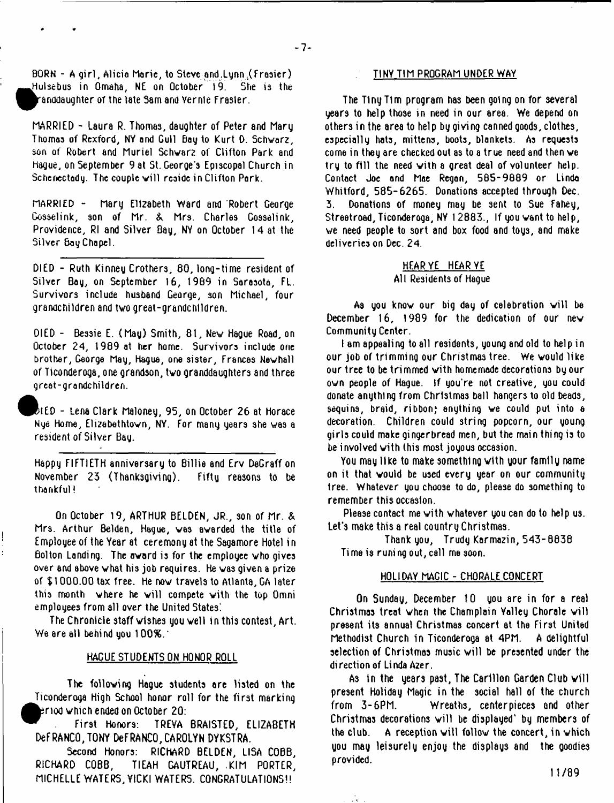BORN - A girl, Alicia Marie, to Steve and Lunn.(Frasier) I Hulsebus in Omaha, N£ on October 19. She is the ^anooaughter or the late Sam and vernle Frasier.

MARRIED - Laura R. Thomas, daughter of Peter and Marg Thomas of Rexford, NY and Gull Bay to Kurt D. Schwarz, son of Robert and Muriel Schvar2 of Clifton Park and Hague, on September 9 at St. George's Episcopal Church in Schenectady. The couple will reside in Clifton Park.

MARRIED - Mary Elizabeth Ward and 'Robert George Gosselink, son of Mr. & Mrs. Charles Cosselink, Providence, Rl and Silver Bay, NY on October 14 at the Silver Bay Chapel.

DIED - Ruth Kinney Crothers, 80, long-time resident of Silver Bay, on September 16, 1989 in Sarasota, FL. Survivors include husband George, son Michael, four grandchildren and two great-grandchildren.

DIED - Bessie E. (May) Smith, 81, New Hague Road, on October 24, 1989 at her home. Survivors include one brother, George May, Hague, one sister, Frances Nevhall of Ticonderoga, one grandson, two granddaughters and three great-grandchildren.

^P^IED - Lena Clark Maloney, 95, on October 26 at Horace Nye Home, Elizabethtown, NY. For many years she was a resident of Silver Bay.

Happy FIFTIETH anniversary to Billie and Erv DeGraff on November 23 (Thanksgiving). Fifty reasons to be thankful i

On October 19, ARTHUR BELDEN, JR., son of Mr. & Mrs. Arthur Belden, Hague, vas awarded the title of Employee of the Year at ceremony at the Sagamore Hotel in Bolton Landing. The award is for the employee who gives over and above what his job requires. He was given a pri26 of \$1000.00 tax free. He now travels to Atlanta, GA later this month where he will compete with the top Omni employees from all over the United States.

 $\overline{\phantom{a}}$ ł.

> The Chronicle staff wishes you well in this contest, Art. We are all behind you  $100\%$ .

# HACUE STUDENTS ON HONOR ROLL

The following Hague students ore listed on the Ticonderoga High School honor roll for the first marking fc?nod which ended on October 20:

First Honors: TREVA BRAISTED, ELIZABETH DeFRANCO,TONY DeFRANCO, CAROLYN DYKSTRA.

Second Honors: RICHARD BELDEN, LISA COBB, RICHARD COBB, TIEAH GAUTREAU, .KIM PORTER, MICHELLE WATERS, YICKI WATERS. CONGRATULATIONS!!

#### TINY TIM PROGRAM UNDER WAY

The Tiny Tim program has been going on for several years to help those in need in our area. We depend on others in the area to help by giving canned goods, clothes, especially hats, mittens, boots, blankets. As requests come in they are checked out as to a true need and then we try to fill the need vith a great deal of volunteer help. Contact Joe and Mae Regan, 505-9009 or Linda Whitford, 585-6265. Donations accepted through Dec. 3. Donations of money may be sent to Sue Fahey, Streatroad, Ticonderoga, NY 1 2883., If you want to help, we need people to sort and box food and toys, and make deliveries on Dec. 24.

# HEAR YE HEAR YE All Residents of Hague

As you know our big day of celebration will be December 16, 1989 for the dedication of our new Community Center.

I am appealing to all residents, young and old to help in our job of trimming our Christmas tree. We would like our tree to be trimmed vith homemade decorations by our own people of Hague. If you're not creative, you could donate anything from Christmas ball hangers to old beads, sequins, braid, ribbon; anything we could put into e decoration. Children could string popcorn, our young girls could moke gingerbread men, but the main thing is to be involved vith this most joyous occasion.

You may like to make something with your family name on it that would be used every year on our community tree. Whatever you choose to do, please do something to remember this occasion.

Please contact me vith whatever you can do to help us. Let's make this a real country Christmas.

Thank you, Trudy Karmazin, 543-8838 Ti me is runi ng out, call me soon.

### HOLIDAY MAGIC - CHORALE CONCERT

On Sunday, December 10 you are in for a real Christmas treat when the Champlain Valley Chorale will present its annual Christmas concert at the First United Methodist Church in Ticonderoga at 4PM. A delightful selection of Christmas music will be presented under the direction of Linda A2er.

As in the years past, The Carillon Garden Club will present Holiday Magic in the social hall of the church from 3 - 6PM. Wreaths, centerpieces and other Christmas decorations will be displayed' by members of the club. A reception will follow the concert, in which you may leisurely enjoy the displays and the goodies provided.

11/89